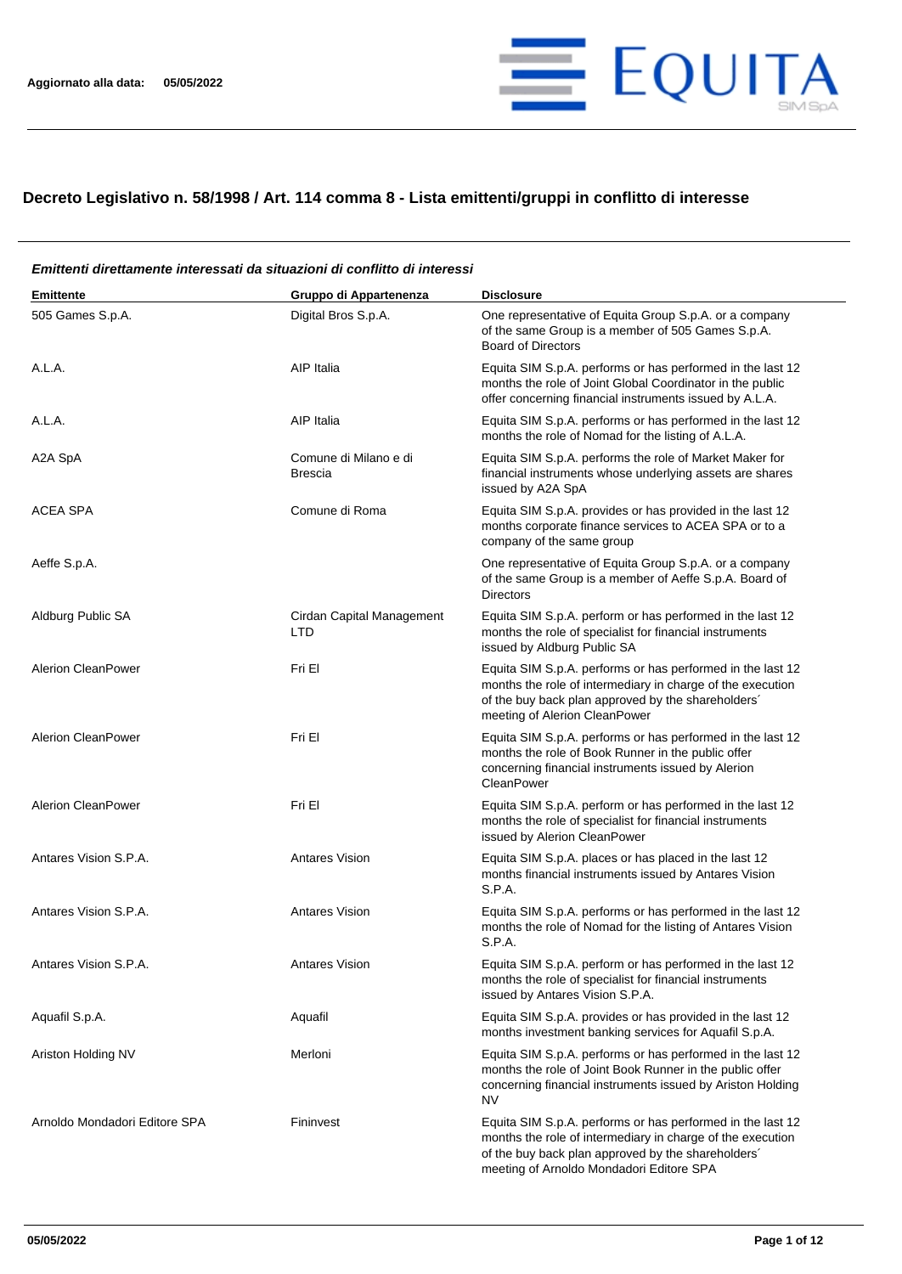

## **Decreto Legislativo n. 58/1998 / Art. 114 comma 8 - Lista emittenti/gruppi in conflitto di interesse**

## **Emittente Gruppo di Appartenenza Disclosure** 505 Games S.p.A. Digital Bros S.p.A. One representative of Equita Group S.p.A. or a company of the same Group is a member of 505 Games S.p.A. Board of Directors A.L.A. A.L.A. A.L.A. A.L.A. A.L.A. **A.L.A.** A.L.A. performs or has performed in the last 12 months the role of Joint Global Coordinator in the public offer concerning financial instruments issued by A.L.A. A.L.A. A.L.A. A.L.A. AIP Italia AIP Italia Equita SIM S.p.A. performs or has performed in the last 12 months the role of Nomad for the listing of A.L.A. A2A SpA Comune di Milano e di Brescia Equita SIM S.p.A. performs the role of Market Maker for financial instruments whose underlying assets are shares issued by A2A SpA ACEA SPA Comune di Roma Equita SIM S.p.A. provides or has provided in the last 12 months corporate finance services to ACEA SPA or to a company of the same group Aeffe S.p.A. One representative of Equita Group S.p.A. or a company of the same Group is a member of Aeffe S.p.A. Board of Directors Aldburg Public SA Cirdan Capital Management LTD Equita SIM S.p.A. perform or has performed in the last 12 months the role of specialist for financial instruments issued by Aldburg Public SA Alerion CleanPower **Fri El El El El El El El El El El El El El** Equita SIM S.p.A. performs or has performed in the last 12 months the role of intermediary in charge of the execution of the buy back plan approved by the shareholders´ meeting of Alerion CleanPower Alerion CleanPower **Fri El El El El El El El El El El El El El** Equita SIM S.p.A. performs or has performed in the last 12 months the role of Book Runner in the public offer concerning financial instruments issued by Alerion **CleanPower** Alerion CleanPower Fri El Fri El El Equita SIM S.p.A. perform or has performed in the last 12 months the role of specialist for financial instruments issued by Alerion CleanPower Antares Vision S.P.A. **Antares Vision** Antares Vision Equita SIM S.p.A. places or has placed in the last 12 months financial instruments issued by Antares Vision S.P.A. Antares Vision S.P.A. **Antares Vision** Antares Vision Equita SIM S.p.A. performs or has performed in the last 12 months the role of Nomad for the listing of Antares Vision S.P.A. Antares Vision S.P.A. Antares Vision Equita SIM S.p.A. perform or has performed in the last 12 months the role of specialist for financial instruments issued by Antares Vision S.P.A. Aquafil S.p.A. Aquafil Aquafil Equita SIM S.p.A. provides or has provided in the last 12 months investment banking services for Aquafil S.p.A. Ariston Holding NV **Merloni** Merloni **Equita SIM S.p.A. performs or has performed in the last 12** months the role of Joint Book Runner in the public offer concerning financial instruments issued by Ariston Holding NV Arnoldo Mondadori Editore SPA Fininvest Fininvest Equita SIM S.p.A. performs or has performed in the last 12 months the role of intermediary in charge of the execution of the buy back plan approved by the shareholders´ meeting of Arnoldo Mondadori Editore SPA

## *Emittenti direttamente interessati da situazioni di conflitto di interessi*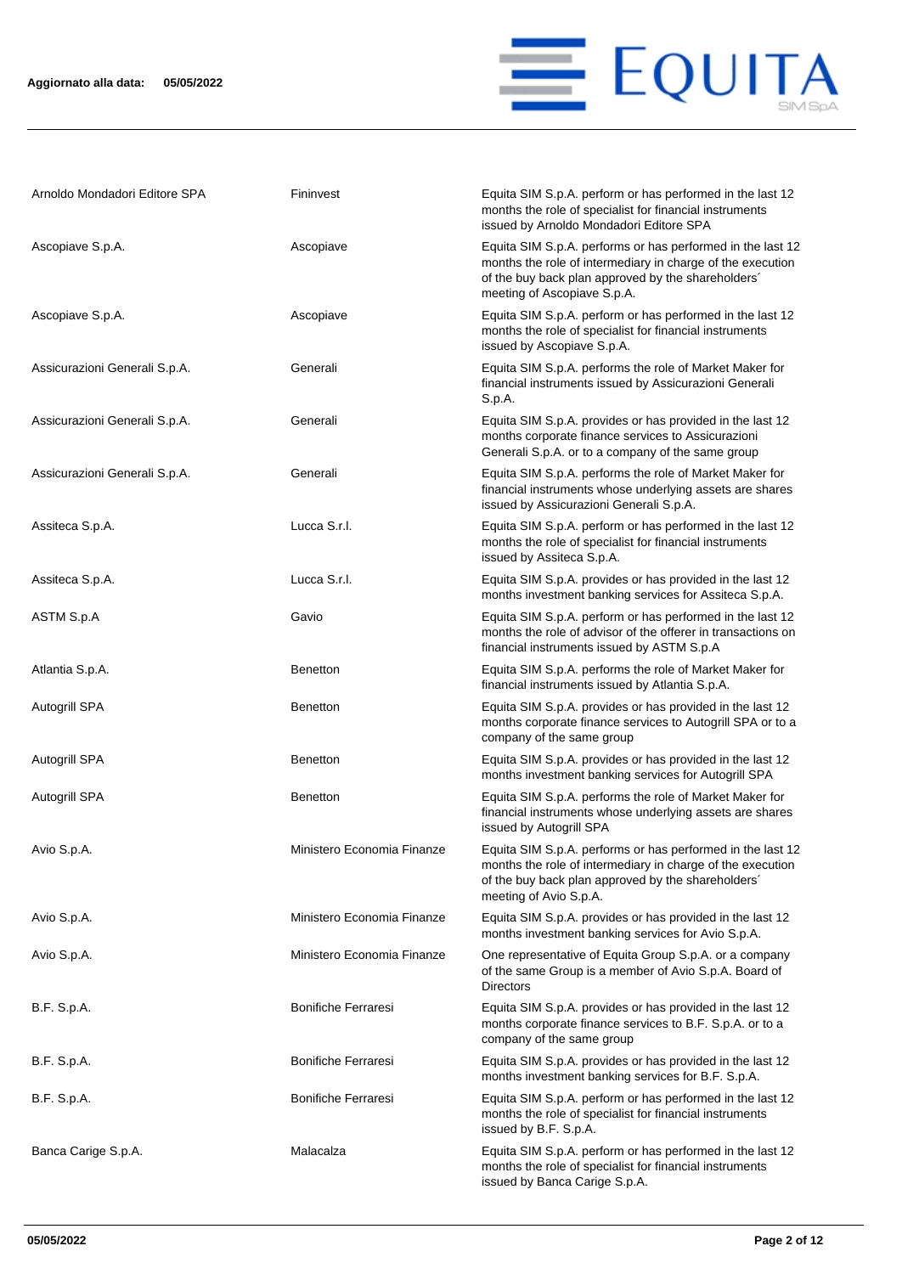

| Arnoldo Mondadori Editore SPA | Fininvest                  | Equita SIM S.p.A. perform or has performed in the last 12<br>months the role of specialist for financial instruments<br>issued by Arnoldo Mondadori Editore SPA                                               |
|-------------------------------|----------------------------|---------------------------------------------------------------------------------------------------------------------------------------------------------------------------------------------------------------|
| Ascopiave S.p.A.              | Ascopiave                  | Equita SIM S.p.A. performs or has performed in the last 12<br>months the role of intermediary in charge of the execution<br>of the buy back plan approved by the shareholders'<br>meeting of Ascopiave S.p.A. |
| Ascopiave S.p.A.              | Ascopiave                  | Equita SIM S.p.A. perform or has performed in the last 12<br>months the role of specialist for financial instruments<br>issued by Ascopiave S.p.A.                                                            |
| Assicurazioni Generali S.p.A. | Generali                   | Equita SIM S.p.A. performs the role of Market Maker for<br>financial instruments issued by Assicurazioni Generali<br>S.p.A.                                                                                   |
| Assicurazioni Generali S.p.A. | Generali                   | Equita SIM S.p.A. provides or has provided in the last 12<br>months corporate finance services to Assicurazioni<br>Generali S.p.A. or to a company of the same group                                          |
| Assicurazioni Generali S.p.A. | Generali                   | Equita SIM S.p.A. performs the role of Market Maker for<br>financial instruments whose underlying assets are shares<br>issued by Assicurazioni Generali S.p.A.                                                |
| Assiteca S.p.A.               | Lucca S.r.l.               | Equita SIM S.p.A. perform or has performed in the last 12<br>months the role of specialist for financial instruments<br>issued by Assiteca S.p.A.                                                             |
| Assiteca S.p.A.               | Lucca S.r.l.               | Equita SIM S.p.A. provides or has provided in the last 12<br>months investment banking services for Assiteca S.p.A.                                                                                           |
| ASTM S.p.A                    | Gavio                      | Equita SIM S.p.A. perform or has performed in the last 12<br>months the role of advisor of the offerer in transactions on<br>financial instruments issued by ASTM S.p.A                                       |
| Atlantia S.p.A.               | <b>Benetton</b>            | Equita SIM S.p.A. performs the role of Market Maker for<br>financial instruments issued by Atlantia S.p.A.                                                                                                    |
| Autogrill SPA                 | <b>Benetton</b>            | Equita SIM S.p.A. provides or has provided in the last 12<br>months corporate finance services to Autogrill SPA or to a<br>company of the same group                                                          |
| Autogrill SPA                 | <b>Benetton</b>            | Equita SIM S.p.A. provides or has provided in the last 12<br>months investment banking services for Autogrill SPA                                                                                             |
| Autogrill SPA                 | <b>Benetton</b>            | Equita SIM S.p.A. performs the role of Market Maker for<br>financial instruments whose underlying assets are shares<br>issued by Autogrill SPA                                                                |
| Avio S.p.A.                   | Ministero Economia Finanze | Equita SIM S.p.A. performs or has performed in the last 12<br>months the role of intermediary in charge of the execution<br>of the buy back plan approved by the shareholders'<br>meeting of Avio S.p.A.      |
| Avio S.p.A.                   | Ministero Economia Finanze | Equita SIM S.p.A. provides or has provided in the last 12<br>months investment banking services for Avio S.p.A.                                                                                               |
| Avio S.p.A.                   | Ministero Economia Finanze | One representative of Equita Group S.p.A. or a company<br>of the same Group is a member of Avio S.p.A. Board of<br><b>Directors</b>                                                                           |
| B.F. S.p.A.                   | <b>Bonifiche Ferraresi</b> | Equita SIM S.p.A. provides or has provided in the last 12<br>months corporate finance services to B.F. S.p.A. or to a<br>company of the same group                                                            |
| B.F. S.p.A.                   | <b>Bonifiche Ferraresi</b> | Equita SIM S.p.A. provides or has provided in the last 12<br>months investment banking services for B.F. S.p.A.                                                                                               |
| B.F. S.p.A.                   | <b>Bonifiche Ferraresi</b> | Equita SIM S.p.A. perform or has performed in the last 12<br>months the role of specialist for financial instruments<br>issued by B.F. S.p.A.                                                                 |
| Banca Carige S.p.A.           | Malacalza                  | Equita SIM S.p.A. perform or has performed in the last 12<br>months the role of specialist for financial instruments<br>issued by Banca Carige S.p.A.                                                         |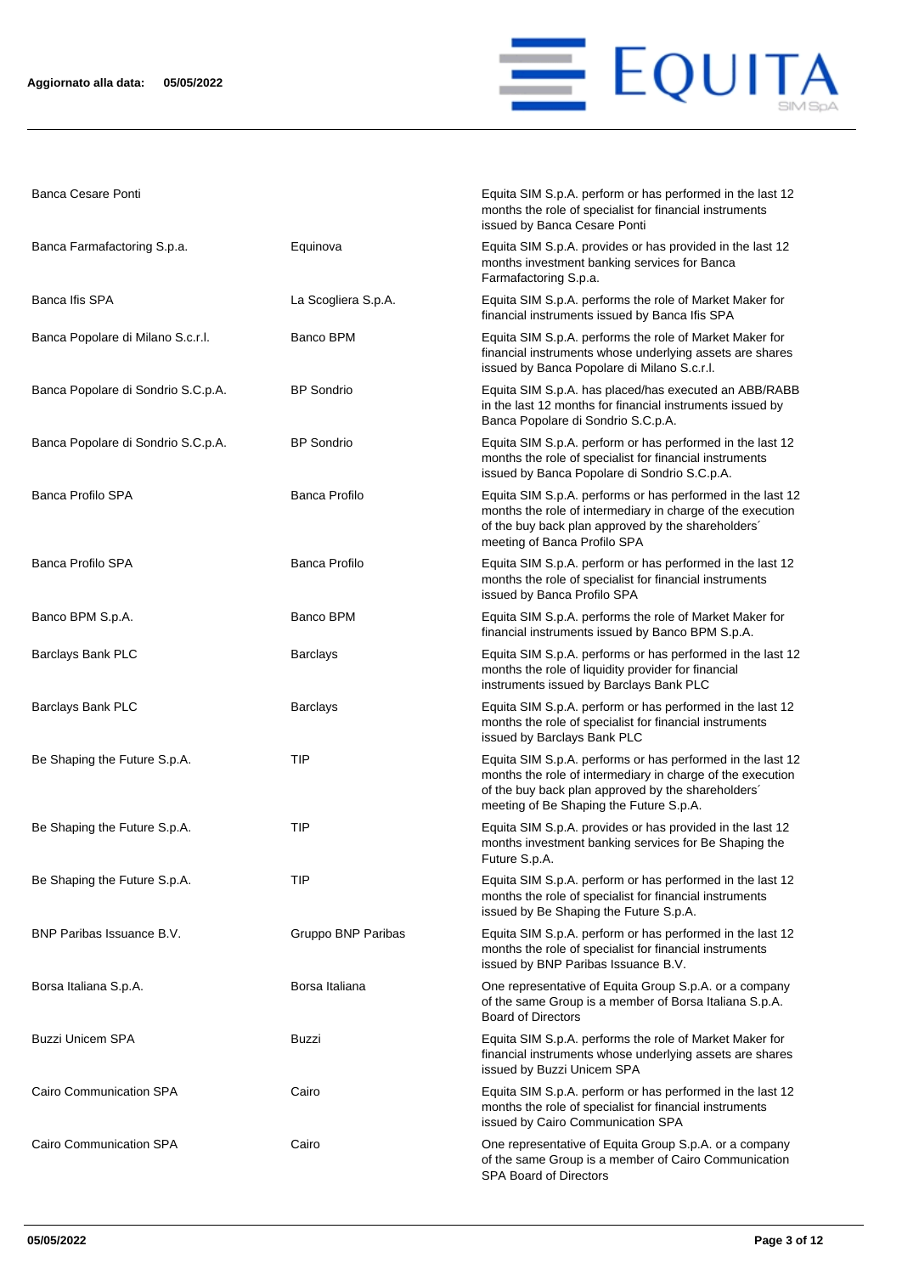

Banca Cesare Ponti **Equita SIM S.p.A. perform or has performed in the last 12** 

|                                    |                      | months the role of specialist for financial instruments<br>issued by Banca Cesare Ponti                                                                                                                                   |
|------------------------------------|----------------------|---------------------------------------------------------------------------------------------------------------------------------------------------------------------------------------------------------------------------|
| Banca Farmafactoring S.p.a.        | Equinova             | Equita SIM S.p.A. provides or has provided in the last 12<br>months investment banking services for Banca<br>Farmafactoring S.p.a.                                                                                        |
| Banca Ifis SPA                     | La Scogliera S.p.A.  | Equita SIM S.p.A. performs the role of Market Maker for<br>financial instruments issued by Banca Ifis SPA                                                                                                                 |
| Banca Popolare di Milano S.c.r.l.  | Banco BPM            | Equita SIM S.p.A. performs the role of Market Maker for<br>financial instruments whose underlying assets are shares<br>issued by Banca Popolare di Milano S.c.r.l.                                                        |
| Banca Popolare di Sondrio S.C.p.A. | <b>BP</b> Sondrio    | Equita SIM S.p.A. has placed/has executed an ABB/RABB<br>in the last 12 months for financial instruments issued by<br>Banca Popolare di Sondrio S.C.p.A.                                                                  |
| Banca Popolare di Sondrio S.C.p.A. | <b>BP</b> Sondrio    | Equita SIM S.p.A. perform or has performed in the last 12<br>months the role of specialist for financial instruments<br>issued by Banca Popolare di Sondrio S.C.p.A.                                                      |
| <b>Banca Profilo SPA</b>           | <b>Banca Profilo</b> | Equita SIM S.p.A. performs or has performed in the last 12<br>months the role of intermediary in charge of the execution<br>of the buy back plan approved by the shareholders'<br>meeting of Banca Profilo SPA            |
| <b>Banca Profilo SPA</b>           | Banca Profilo        | Equita SIM S.p.A. perform or has performed in the last 12<br>months the role of specialist for financial instruments<br>issued by Banca Profilo SPA                                                                       |
| Banco BPM S.p.A.                   | Banco BPM            | Equita SIM S.p.A. performs the role of Market Maker for<br>financial instruments issued by Banco BPM S.p.A.                                                                                                               |
| Barclays Bank PLC                  | <b>Barclays</b>      | Equita SIM S.p.A. performs or has performed in the last 12<br>months the role of liquidity provider for financial<br>instruments issued by Barclays Bank PLC                                                              |
| Barclays Bank PLC                  | <b>Barclays</b>      | Equita SIM S.p.A. perform or has performed in the last 12<br>months the role of specialist for financial instruments<br>issued by Barclays Bank PLC                                                                       |
| Be Shaping the Future S.p.A.       | TIP                  | Equita SIM S.p.A. performs or has performed in the last 12<br>months the role of intermediary in charge of the execution<br>of the buy back plan approved by the shareholders'<br>meeting of Be Shaping the Future S.p.A. |
| Be Shaping the Future S.p.A.       | TIP                  | Equita SIM S.p.A. provides or has provided in the last 12<br>months investment banking services for Be Shaping the<br>Future S.p.A.                                                                                       |
| Be Shaping the Future S.p.A.       | <b>TIP</b>           | Equita SIM S.p.A. perform or has performed in the last 12<br>months the role of specialist for financial instruments<br>issued by Be Shaping the Future S.p.A.                                                            |
| BNP Paribas Issuance B.V.          | Gruppo BNP Paribas   | Equita SIM S.p.A. perform or has performed in the last 12<br>months the role of specialist for financial instruments<br>issued by BNP Paribas Issuance B.V.                                                               |
| Borsa Italiana S.p.A.              | Borsa Italiana       | One representative of Equita Group S.p.A. or a company<br>of the same Group is a member of Borsa Italiana S.p.A.<br><b>Board of Directors</b>                                                                             |
| <b>Buzzi Unicem SPA</b>            | Buzzi                | Equita SIM S.p.A. performs the role of Market Maker for<br>financial instruments whose underlying assets are shares<br>issued by Buzzi Unicem SPA                                                                         |
| Cairo Communication SPA            | Cairo                | Equita SIM S.p.A. perform or has performed in the last 12<br>months the role of specialist for financial instruments<br>issued by Cairo Communication SPA                                                                 |
| Cairo Communication SPA            | Cairo                | One representative of Equita Group S.p.A. or a company<br>of the same Group is a member of Cairo Communication<br>SPA Board of Directors                                                                                  |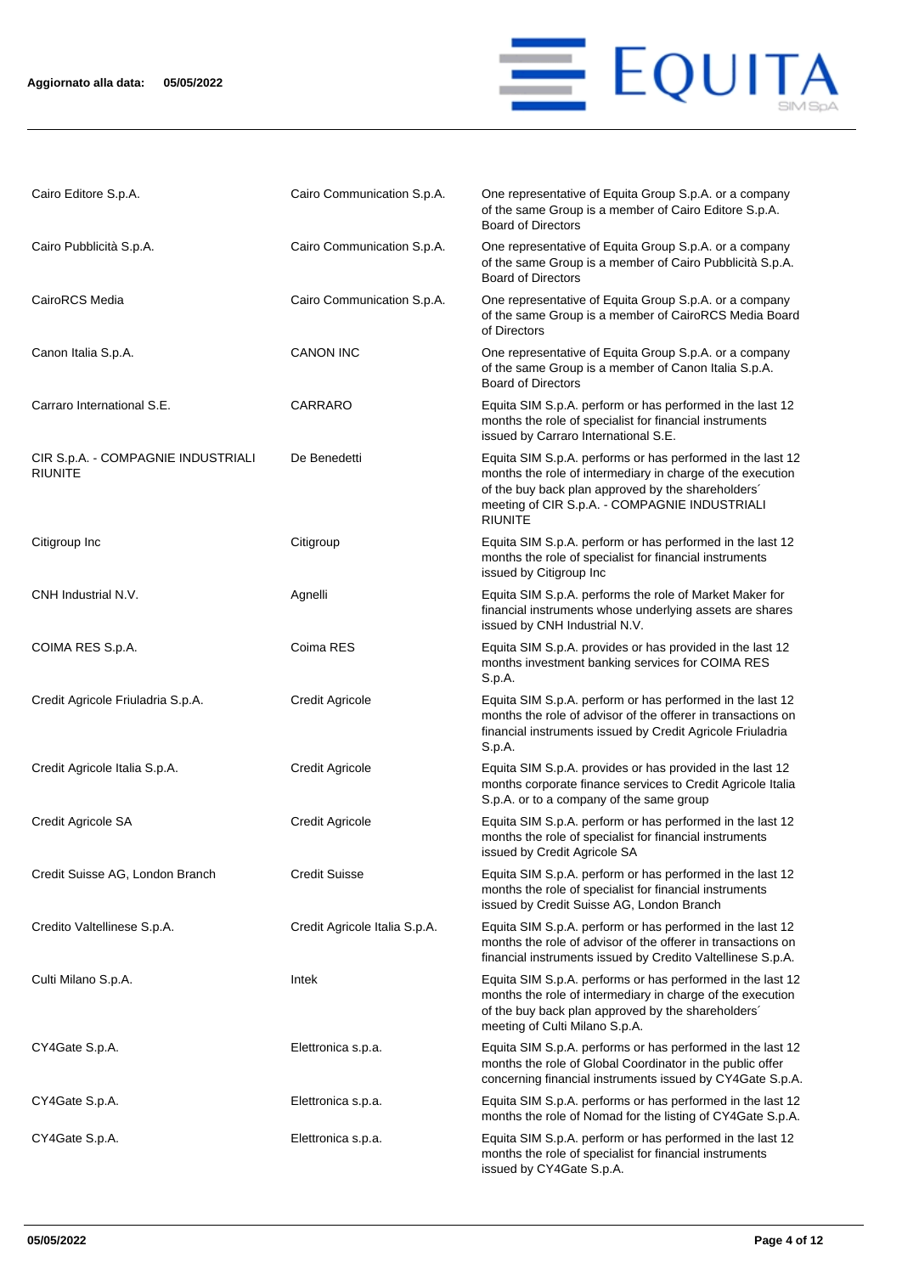## **Aggiornato alla data: 05/05/2022**



| Cairo Editore S.p.A.                                 | Cairo Communication S.p.A.    | One representative of Equita Group S.p.A. or a company<br>of the same Group is a member of Cairo Editore S.p.A.<br><b>Board of Directors</b>                                                                                                      |
|------------------------------------------------------|-------------------------------|---------------------------------------------------------------------------------------------------------------------------------------------------------------------------------------------------------------------------------------------------|
| Cairo Pubblicità S.p.A.                              | Cairo Communication S.p.A.    | One representative of Equita Group S.p.A. or a company<br>of the same Group is a member of Cairo Pubblicità S.p.A.<br><b>Board of Directors</b>                                                                                                   |
| CairoRCS Media                                       | Cairo Communication S.p.A.    | One representative of Equita Group S.p.A. or a company<br>of the same Group is a member of CairoRCS Media Board<br>of Directors                                                                                                                   |
| Canon Italia S.p.A.                                  | <b>CANON INC</b>              | One representative of Equita Group S.p.A. or a company<br>of the same Group is a member of Canon Italia S.p.A.<br><b>Board of Directors</b>                                                                                                       |
| Carraro International S.E.                           | CARRARO                       | Equita SIM S.p.A. perform or has performed in the last 12<br>months the role of specialist for financial instruments<br>issued by Carraro International S.E.                                                                                      |
| CIR S.p.A. - COMPAGNIE INDUSTRIALI<br><b>RIUNITE</b> | De Benedetti                  | Equita SIM S.p.A. performs or has performed in the last 12<br>months the role of intermediary in charge of the execution<br>of the buy back plan approved by the shareholders'<br>meeting of CIR S.p.A. - COMPAGNIE INDUSTRIALI<br><b>RIUNITE</b> |
| Citigroup Inc                                        | Citigroup                     | Equita SIM S.p.A. perform or has performed in the last 12<br>months the role of specialist for financial instruments<br>issued by Citigroup Inc                                                                                                   |
| CNH Industrial N.V.                                  | Agnelli                       | Equita SIM S.p.A. performs the role of Market Maker for<br>financial instruments whose underlying assets are shares<br>issued by CNH Industrial N.V.                                                                                              |
| COIMA RES S.p.A.                                     | Coima RES                     | Equita SIM S.p.A. provides or has provided in the last 12<br>months investment banking services for COIMA RES<br>S.p.A.                                                                                                                           |
| Credit Agricole Friuladria S.p.A.                    | <b>Credit Agricole</b>        | Equita SIM S.p.A. perform or has performed in the last 12<br>months the role of advisor of the offerer in transactions on<br>financial instruments issued by Credit Agricole Friuladria<br>S.p.A.                                                 |
| Credit Agricole Italia S.p.A.                        | <b>Credit Agricole</b>        | Equita SIM S.p.A. provides or has provided in the last 12<br>months corporate finance services to Credit Agricole Italia<br>S.p.A. or to a company of the same group                                                                              |
| Credit Agricole SA                                   | <b>Credit Agricole</b>        | Equita SIM S.p.A. perform or has performed in the last 12<br>months the role of specialist for financial instruments<br>issued by Credit Agricole SA                                                                                              |
| Credit Suisse AG, London Branch                      | <b>Credit Suisse</b>          | Equita SIM S.p.A. perform or has performed in the last 12<br>months the role of specialist for financial instruments<br>issued by Credit Suisse AG, London Branch                                                                                 |
| Credito Valtellinese S.p.A.                          | Credit Agricole Italia S.p.A. | Equita SIM S.p.A. perform or has performed in the last 12<br>months the role of advisor of the offerer in transactions on<br>financial instruments issued by Credito Valtellinese S.p.A.                                                          |
| Culti Milano S.p.A.                                  | Intek                         | Equita SIM S.p.A. performs or has performed in the last 12<br>months the role of intermediary in charge of the execution<br>of the buy back plan approved by the shareholders'<br>meeting of Culti Milano S.p.A.                                  |
| CY4Gate S.p.A.                                       | Elettronica s.p.a.            | Equita SIM S.p.A. performs or has performed in the last 12<br>months the role of Global Coordinator in the public offer<br>concerning financial instruments issued by CY4Gate S.p.A.                                                              |
| CY4Gate S.p.A.                                       | Elettronica s.p.a.            | Equita SIM S.p.A. performs or has performed in the last 12<br>months the role of Nomad for the listing of CY4Gate S.p.A.                                                                                                                          |
| CY4Gate S.p.A.                                       | Elettronica s.p.a.            | Equita SIM S.p.A. perform or has performed in the last 12<br>months the role of specialist for financial instruments<br>issued by CY4Gate S.p.A.                                                                                                  |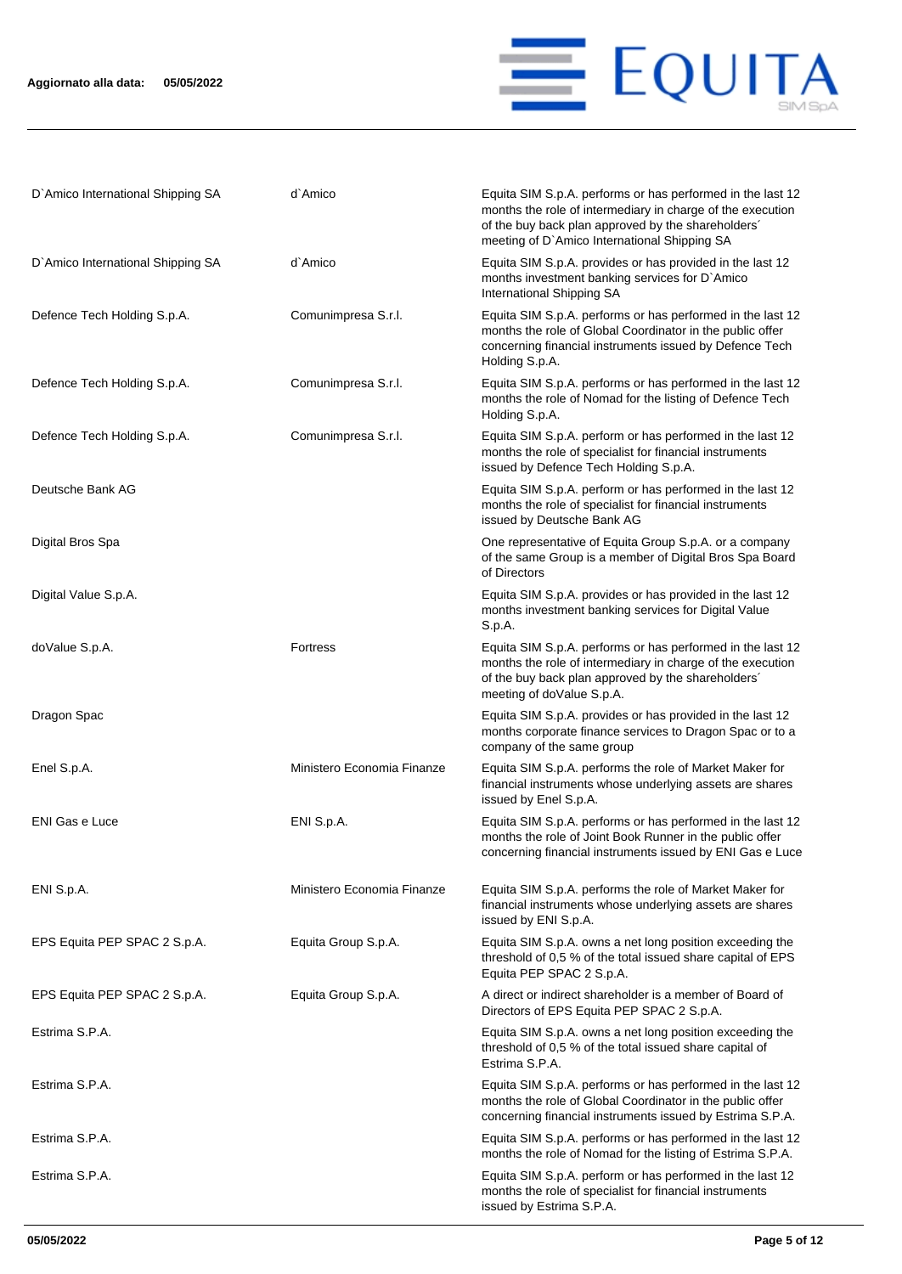

| D'Amico International Shipping SA | d`Amico                    | Equita SIM S.p.A. performs or has performed in the last 12<br>months the role of intermediary in charge of the execution<br>of the buy back plan approved by the shareholders'<br>meeting of D'Amico International Shipping SA |
|-----------------------------------|----------------------------|--------------------------------------------------------------------------------------------------------------------------------------------------------------------------------------------------------------------------------|
| D'Amico International Shipping SA | d`Amico                    | Equita SIM S.p.A. provides or has provided in the last 12<br>months investment banking services for D'Amico<br>International Shipping SA                                                                                       |
| Defence Tech Holding S.p.A.       | Comunimpresa S.r.l.        | Equita SIM S.p.A. performs or has performed in the last 12<br>months the role of Global Coordinator in the public offer<br>concerning financial instruments issued by Defence Tech<br>Holding S.p.A.                           |
| Defence Tech Holding S.p.A.       | Comunimpresa S.r.l.        | Equita SIM S.p.A. performs or has performed in the last 12<br>months the role of Nomad for the listing of Defence Tech<br>Holding S.p.A.                                                                                       |
| Defence Tech Holding S.p.A.       | Comunimpresa S.r.l.        | Equita SIM S.p.A. perform or has performed in the last 12<br>months the role of specialist for financial instruments<br>issued by Defence Tech Holding S.p.A.                                                                  |
| Deutsche Bank AG                  |                            | Equita SIM S.p.A. perform or has performed in the last 12<br>months the role of specialist for financial instruments<br>issued by Deutsche Bank AG                                                                             |
| Digital Bros Spa                  |                            | One representative of Equita Group S.p.A. or a company<br>of the same Group is a member of Digital Bros Spa Board<br>of Directors                                                                                              |
| Digital Value S.p.A.              |                            | Equita SIM S.p.A. provides or has provided in the last 12<br>months investment banking services for Digital Value<br>S.p.A.                                                                                                    |
| doValue S.p.A.                    | Fortress                   | Equita SIM S.p.A. performs or has performed in the last 12<br>months the role of intermediary in charge of the execution<br>of the buy back plan approved by the shareholders'<br>meeting of doValue S.p.A.                    |
| Dragon Spac                       |                            | Equita SIM S.p.A. provides or has provided in the last 12<br>months corporate finance services to Dragon Spac or to a<br>company of the same group                                                                             |
| Enel S.p.A.                       | Ministero Economia Finanze | Equita SIM S.p.A. performs the role of Market Maker for<br>financial instruments whose underlying assets are shares<br>issued by Enel S.p.A.                                                                                   |
| <b>ENI Gas e Luce</b>             | ENI S.p.A.                 | Equita SIM S.p.A. performs or has performed in the last 12<br>months the role of Joint Book Runner in the public offer<br>concerning financial instruments issued by ENI Gas e Luce                                            |
| ENI S.p.A.                        | Ministero Economia Finanze | Equita SIM S.p.A. performs the role of Market Maker for<br>financial instruments whose underlying assets are shares<br>issued by ENI S.p.A.                                                                                    |
| EPS Equita PEP SPAC 2 S.p.A.      | Equita Group S.p.A.        | Equita SIM S.p.A. owns a net long position exceeding the<br>threshold of 0,5 % of the total issued share capital of EPS<br>Equita PEP SPAC 2 S.p.A.                                                                            |
| EPS Equita PEP SPAC 2 S.p.A.      | Equita Group S.p.A.        | A direct or indirect shareholder is a member of Board of<br>Directors of EPS Equita PEP SPAC 2 S.p.A.                                                                                                                          |
| Estrima S.P.A.                    |                            | Equita SIM S.p.A. owns a net long position exceeding the<br>threshold of 0,5 % of the total issued share capital of<br>Estrima S.P.A.                                                                                          |
| Estrima S.P.A.                    |                            | Equita SIM S.p.A. performs or has performed in the last 12<br>months the role of Global Coordinator in the public offer<br>concerning financial instruments issued by Estrima S.P.A.                                           |
| Estrima S.P.A.                    |                            | Equita SIM S.p.A. performs or has performed in the last 12<br>months the role of Nomad for the listing of Estrima S.P.A.                                                                                                       |
| Estrima S.P.A.                    |                            | Equita SIM S.p.A. perform or has performed in the last 12<br>months the role of specialist for financial instruments<br>issued by Estrima S.P.A.                                                                               |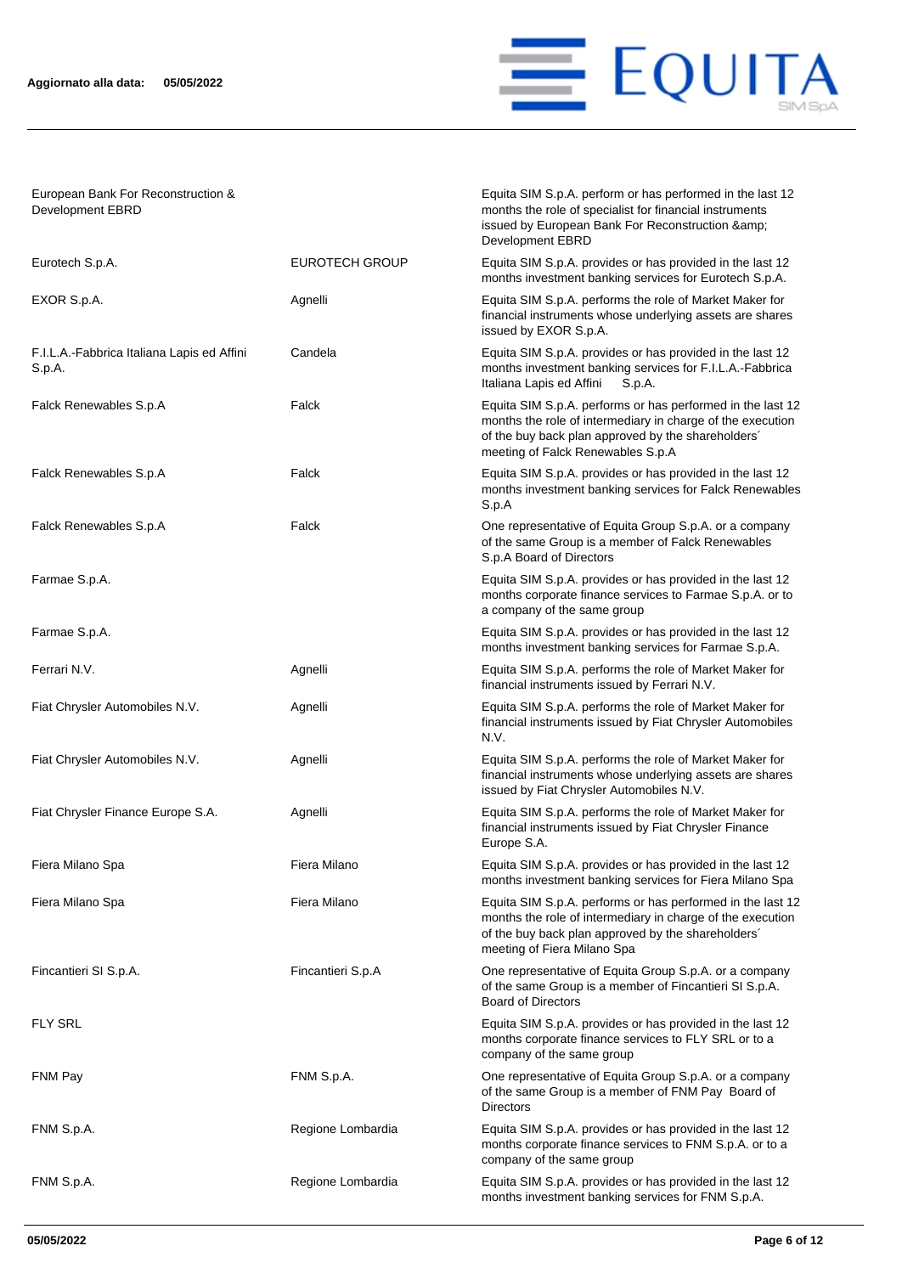

Equita SIM S.p.A. perform or has performed in the last 12 months the role of specialist for financial instruments issued by European Bank For Reconstruction &

European Bank For Reconstruction & Development EBRD

|                                                      |                       | Development EBRD                                                                                                                                                                                                    |
|------------------------------------------------------|-----------------------|---------------------------------------------------------------------------------------------------------------------------------------------------------------------------------------------------------------------|
| Eurotech S.p.A.                                      | <b>EUROTECH GROUP</b> | Equita SIM S.p.A. provides or has provided in the last 12<br>months investment banking services for Eurotech S.p.A.                                                                                                 |
| EXOR S.p.A.                                          | Agnelli               | Equita SIM S.p.A. performs the role of Market Maker for<br>financial instruments whose underlying assets are shares<br>issued by EXOR S.p.A.                                                                        |
| F.I.L.A.-Fabbrica Italiana Lapis ed Affini<br>S.p.A. | Candela               | Equita SIM S.p.A. provides or has provided in the last 12<br>months investment banking services for F.I.L.A.-Fabbrica<br>Italiana Lapis ed Affini<br>S.p.A.                                                         |
| Falck Renewables S.p.A                               | Falck                 | Equita SIM S.p.A. performs or has performed in the last 12<br>months the role of intermediary in charge of the execution<br>of the buy back plan approved by the shareholders'<br>meeting of Falck Renewables S.p.A |
| Falck Renewables S.p.A                               | Falck                 | Equita SIM S.p.A. provides or has provided in the last 12<br>months investment banking services for Falck Renewables<br>S.p.A                                                                                       |
| Falck Renewables S.p.A                               | Falck                 | One representative of Equita Group S.p.A. or a company<br>of the same Group is a member of Falck Renewables<br>S.p.A Board of Directors                                                                             |
| Farmae S.p.A.                                        |                       | Equita SIM S.p.A. provides or has provided in the last 12<br>months corporate finance services to Farmae S.p.A. or to<br>a company of the same group                                                                |
| Farmae S.p.A.                                        |                       | Equita SIM S.p.A. provides or has provided in the last 12<br>months investment banking services for Farmae S.p.A.                                                                                                   |
| Ferrari N.V.                                         | Agnelli               | Equita SIM S.p.A. performs the role of Market Maker for<br>financial instruments issued by Ferrari N.V.                                                                                                             |
| Fiat Chrysler Automobiles N.V.                       | Agnelli               | Equita SIM S.p.A. performs the role of Market Maker for<br>financial instruments issued by Fiat Chrysler Automobiles<br>N.V.                                                                                        |
| Fiat Chrysler Automobiles N.V.                       | Agnelli               | Equita SIM S.p.A. performs the role of Market Maker for<br>financial instruments whose underlying assets are shares<br>issued by Fiat Chrysler Automobiles N.V.                                                     |
| Fiat Chrysler Finance Europe S.A.                    | Agnelli               | Equita SIM S.p.A. performs the role of Market Maker for<br>financial instruments issued by Fiat Chrysler Finance<br>Europe S.A.                                                                                     |
| Fiera Milano Spa                                     | Fiera Milano          | Equita SIM S.p.A. provides or has provided in the last 12<br>months investment banking services for Fiera Milano Spa                                                                                                |
| Fiera Milano Spa                                     | Fiera Milano          | Equita SIM S.p.A. performs or has performed in the last 12<br>months the role of intermediary in charge of the execution<br>of the buy back plan approved by the shareholders'<br>meeting of Fiera Milano Spa       |
| Fincantieri SI S.p.A.                                | Fincantieri S.p.A     | One representative of Equita Group S.p.A. or a company<br>of the same Group is a member of Fincantieri SI S.p.A.<br><b>Board of Directors</b>                                                                       |
| <b>FLY SRL</b>                                       |                       | Equita SIM S.p.A. provides or has provided in the last 12<br>months corporate finance services to FLY SRL or to a<br>company of the same group                                                                      |
| FNM Pay                                              | FNM S.p.A.            | One representative of Equita Group S.p.A. or a company<br>of the same Group is a member of FNM Pay Board of<br><b>Directors</b>                                                                                     |
| FNM S.p.A.                                           | Regione Lombardia     | Equita SIM S.p.A. provides or has provided in the last 12<br>months corporate finance services to FNM S.p.A. or to a<br>company of the same group                                                                   |
| FNM S.p.A.                                           | Regione Lombardia     | Equita SIM S.p.A. provides or has provided in the last 12<br>months investment banking services for FNM S.p.A.                                                                                                      |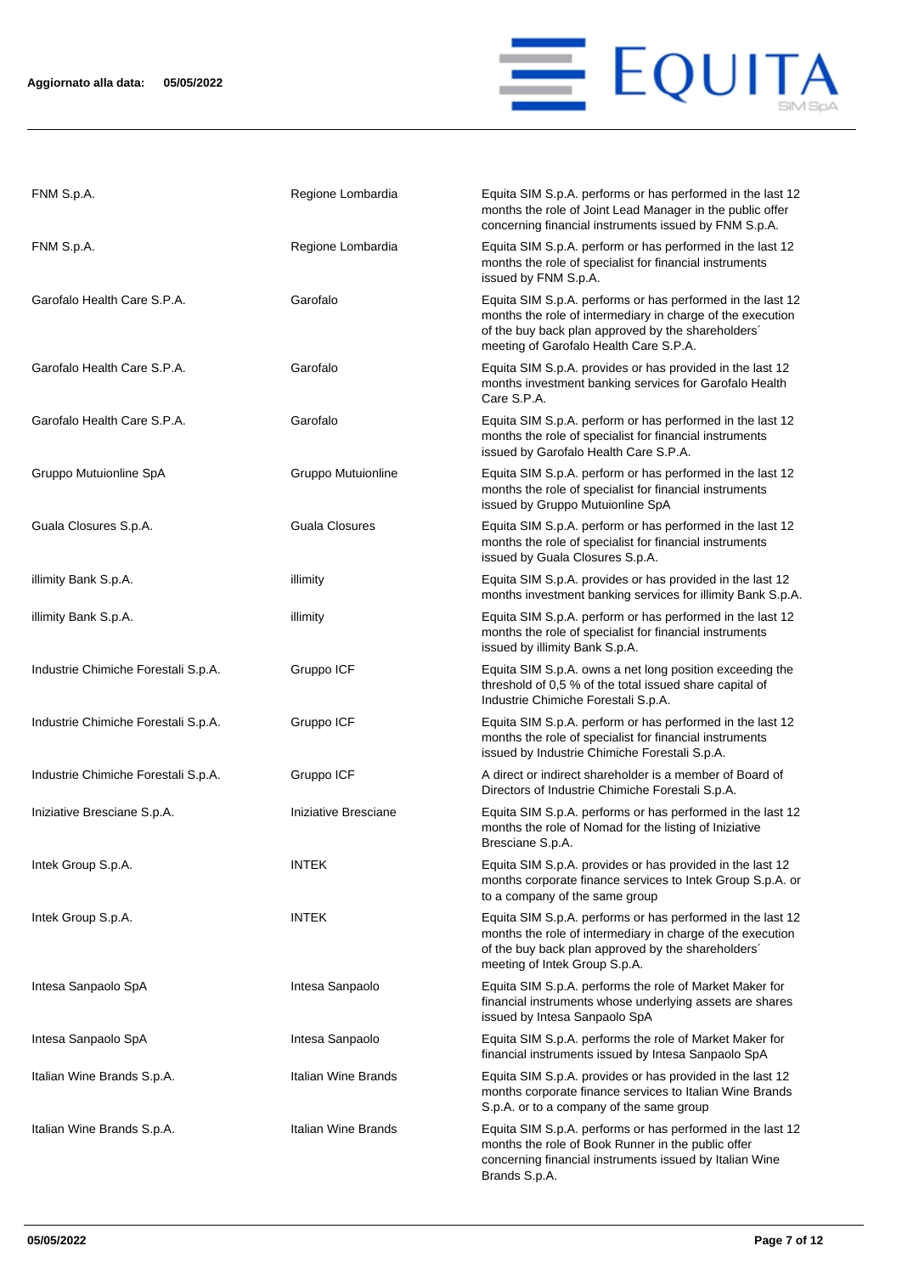

| FNM S.p.A.                          | Regione Lombardia     | Equita SIM S.p.A. performs or has performed in the last 12<br>months the role of Joint Lead Manager in the public offer<br>concerning financial instruments issued by FNM S.p.A.                                         |
|-------------------------------------|-----------------------|--------------------------------------------------------------------------------------------------------------------------------------------------------------------------------------------------------------------------|
| FNM S.p.A.                          | Regione Lombardia     | Equita SIM S.p.A. perform or has performed in the last 12<br>months the role of specialist for financial instruments<br>issued by FNM S.p.A.                                                                             |
| Garofalo Health Care S.P.A.         | Garofalo              | Equita SIM S.p.A. performs or has performed in the last 12<br>months the role of intermediary in charge of the execution<br>of the buy back plan approved by the shareholders'<br>meeting of Garofalo Health Care S.P.A. |
| Garofalo Health Care S.P.A.         | Garofalo              | Equita SIM S.p.A. provides or has provided in the last 12<br>months investment banking services for Garofalo Health<br>Care S.P.A.                                                                                       |
| Garofalo Health Care S.P.A.         | Garofalo              | Equita SIM S.p.A. perform or has performed in the last 12<br>months the role of specialist for financial instruments<br>issued by Garofalo Health Care S.P.A.                                                            |
| Gruppo Mutuionline SpA              | Gruppo Mutuionline    | Equita SIM S.p.A. perform or has performed in the last 12<br>months the role of specialist for financial instruments<br>issued by Gruppo Mutuionline SpA                                                                 |
| Guala Closures S.p.A.               | <b>Guala Closures</b> | Equita SIM S.p.A. perform or has performed in the last 12<br>months the role of specialist for financial instruments<br>issued by Guala Closures S.p.A.                                                                  |
| illimity Bank S.p.A.                | illimity              | Equita SIM S.p.A. provides or has provided in the last 12<br>months investment banking services for illimity Bank S.p.A.                                                                                                 |
| illimity Bank S.p.A.                | illimity              | Equita SIM S.p.A. perform or has performed in the last 12<br>months the role of specialist for financial instruments<br>issued by illimity Bank S.p.A.                                                                   |
| Industrie Chimiche Forestali S.p.A. | Gruppo ICF            | Equita SIM S.p.A. owns a net long position exceeding the<br>threshold of 0,5 % of the total issued share capital of<br>Industrie Chimiche Forestali S.p.A.                                                               |
| Industrie Chimiche Forestali S.p.A. | Gruppo ICF            | Equita SIM S.p.A. perform or has performed in the last 12<br>months the role of specialist for financial instruments<br>issued by Industrie Chimiche Forestali S.p.A.                                                    |
| Industrie Chimiche Forestali S.p.A. | Gruppo ICF            | A direct or indirect shareholder is a member of Board of<br>Directors of Industrie Chimiche Forestali S.p.A.                                                                                                             |
| Iniziative Bresciane S.p.A.         | Iniziative Bresciane  | Equita SIM S.p.A. performs or has performed in the last 12<br>months the role of Nomad for the listing of Iniziative<br>Bresciane S.p.A.                                                                                 |
| Intek Group S.p.A.                  | <b>INTEK</b>          | Equita SIM S.p.A. provides or has provided in the last 12<br>months corporate finance services to Intek Group S.p.A. or<br>to a company of the same group                                                                |
| Intek Group S.p.A.                  | INTEK                 | Equita SIM S.p.A. performs or has performed in the last 12<br>months the role of intermediary in charge of the execution<br>of the buy back plan approved by the shareholders'<br>meeting of Intek Group S.p.A.          |
| Intesa Sanpaolo SpA                 | Intesa Sanpaolo       | Equita SIM S.p.A. performs the role of Market Maker for<br>financial instruments whose underlying assets are shares<br>issued by Intesa Sanpaolo SpA                                                                     |
| Intesa Sanpaolo SpA                 | Intesa Sanpaolo       | Equita SIM S.p.A. performs the role of Market Maker for<br>financial instruments issued by Intesa Sanpaolo SpA                                                                                                           |
| Italian Wine Brands S.p.A.          | Italian Wine Brands   | Equita SIM S.p.A. provides or has provided in the last 12<br>months corporate finance services to Italian Wine Brands<br>S.p.A. or to a company of the same group                                                        |
| Italian Wine Brands S.p.A.          | Italian Wine Brands   | Equita SIM S.p.A. performs or has performed in the last 12<br>months the role of Book Runner in the public offer<br>concerning financial instruments issued by Italian Wine<br>Brands S.p.A.                             |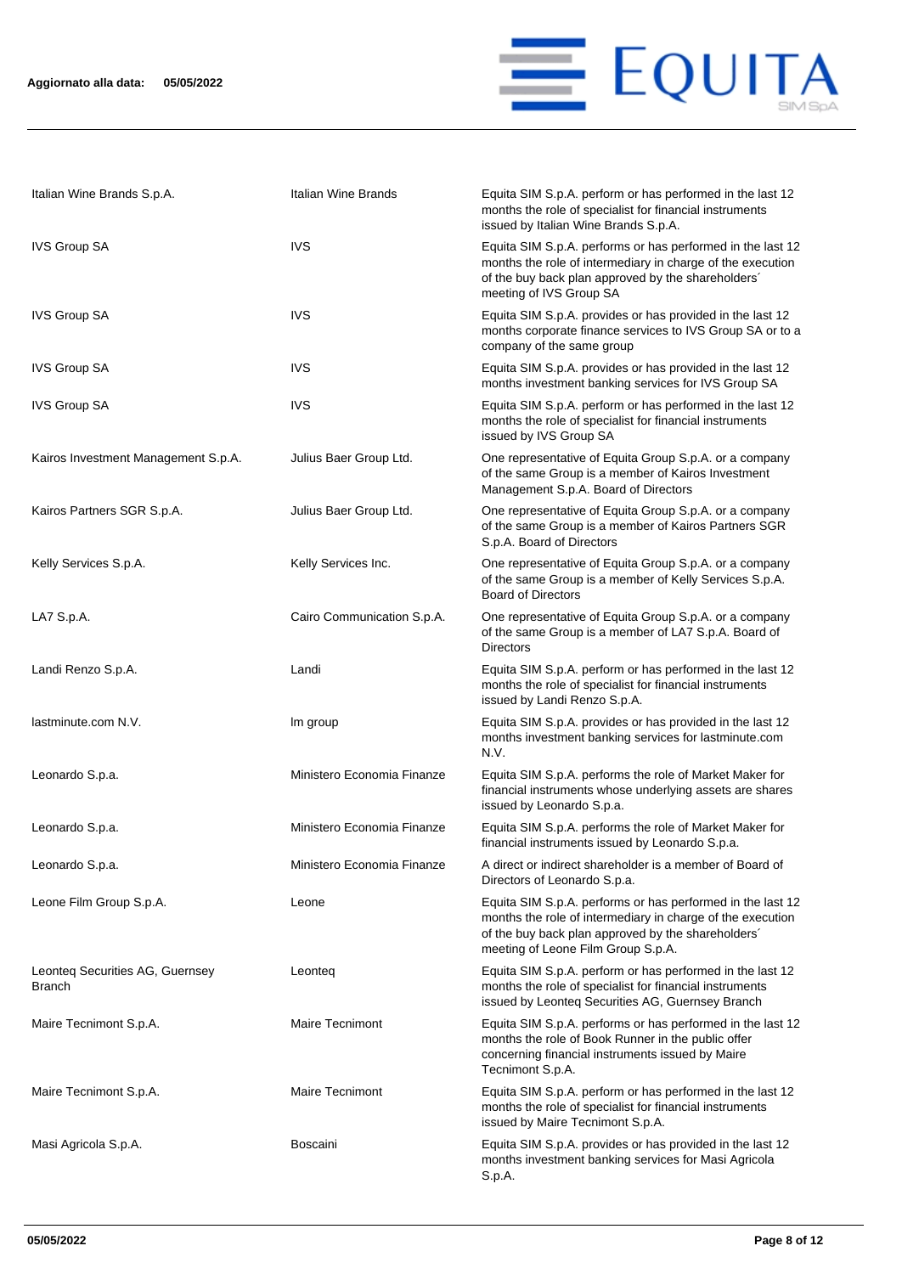

| Italian Wine Brands S.p.A.                | Italian Wine Brands        | Equita SIM S.p.A. perform or has performed in the last 12<br>months the role of specialist for financial instruments<br>issued by Italian Wine Brands S.p.A.                                                         |
|-------------------------------------------|----------------------------|----------------------------------------------------------------------------------------------------------------------------------------------------------------------------------------------------------------------|
| <b>IVS Group SA</b>                       | <b>IVS</b>                 | Equita SIM S.p.A. performs or has performed in the last 12<br>months the role of intermediary in charge of the execution<br>of the buy back plan approved by the shareholders'<br>meeting of IVS Group SA            |
| <b>IVS Group SA</b>                       | <b>IVS</b>                 | Equita SIM S.p.A. provides or has provided in the last 12<br>months corporate finance services to IVS Group SA or to a<br>company of the same group                                                                  |
| <b>IVS Group SA</b>                       | IVS                        | Equita SIM S.p.A. provides or has provided in the last 12<br>months investment banking services for IVS Group SA                                                                                                     |
| <b>IVS Group SA</b>                       | <b>IVS</b>                 | Equita SIM S.p.A. perform or has performed in the last 12<br>months the role of specialist for financial instruments<br>issued by IVS Group SA                                                                       |
| Kairos Investment Management S.p.A.       | Julius Baer Group Ltd.     | One representative of Equita Group S.p.A. or a company<br>of the same Group is a member of Kairos Investment<br>Management S.p.A. Board of Directors                                                                 |
| Kairos Partners SGR S.p.A.                | Julius Baer Group Ltd.     | One representative of Equita Group S.p.A. or a company<br>of the same Group is a member of Kairos Partners SGR<br>S.p.A. Board of Directors                                                                          |
| Kelly Services S.p.A.                     | Kelly Services Inc.        | One representative of Equita Group S.p.A. or a company<br>of the same Group is a member of Kelly Services S.p.A.<br><b>Board of Directors</b>                                                                        |
| LA7 S.p.A.                                | Cairo Communication S.p.A. | One representative of Equita Group S.p.A. or a company<br>of the same Group is a member of LA7 S.p.A. Board of<br><b>Directors</b>                                                                                   |
| Landi Renzo S.p.A.                        | Landi                      | Equita SIM S.p.A. perform or has performed in the last 12<br>months the role of specialist for financial instruments<br>issued by Landi Renzo S.p.A.                                                                 |
| lastminute.com N.V.                       | Im group                   | Equita SIM S.p.A. provides or has provided in the last 12<br>months investment banking services for lastminute.com<br>N.V.                                                                                           |
| Leonardo S.p.a.                           | Ministero Economia Finanze | Equita SIM S.p.A. performs the role of Market Maker for<br>financial instruments whose underlying assets are shares<br>issued by Leonardo S.p.a.                                                                     |
| Leonardo S.p.a.                           | Ministero Economia Finanze | Equita SIM S.p.A. performs the role of Market Maker for<br>financial instruments issued by Leonardo S.p.a.                                                                                                           |
| Leonardo S.p.a.                           | Ministero Economia Finanze | A direct or indirect shareholder is a member of Board of<br>Directors of Leonardo S.p.a.                                                                                                                             |
| Leone Film Group S.p.A.                   | Leone                      | Equita SIM S.p.A. performs or has performed in the last 12<br>months the role of intermediary in charge of the execution<br>of the buy back plan approved by the shareholders'<br>meeting of Leone Film Group S.p.A. |
| Leonteq Securities AG, Guernsey<br>Branch | Leonteg                    | Equita SIM S.p.A. perform or has performed in the last 12<br>months the role of specialist for financial instruments<br>issued by Leonteq Securities AG, Guernsey Branch                                             |
| Maire Tecnimont S.p.A.                    | <b>Maire Tecnimont</b>     | Equita SIM S.p.A. performs or has performed in the last 12<br>months the role of Book Runner in the public offer<br>concerning financial instruments issued by Maire<br>Tecnimont S.p.A.                             |
| Maire Tecnimont S.p.A.                    | <b>Maire Tecnimont</b>     | Equita SIM S.p.A. perform or has performed in the last 12<br>months the role of specialist for financial instruments<br>issued by Maire Tecnimont S.p.A.                                                             |
| Masi Agricola S.p.A.                      | <b>Boscaini</b>            | Equita SIM S.p.A. provides or has provided in the last 12<br>months investment banking services for Masi Agricola<br>S.p.A.                                                                                          |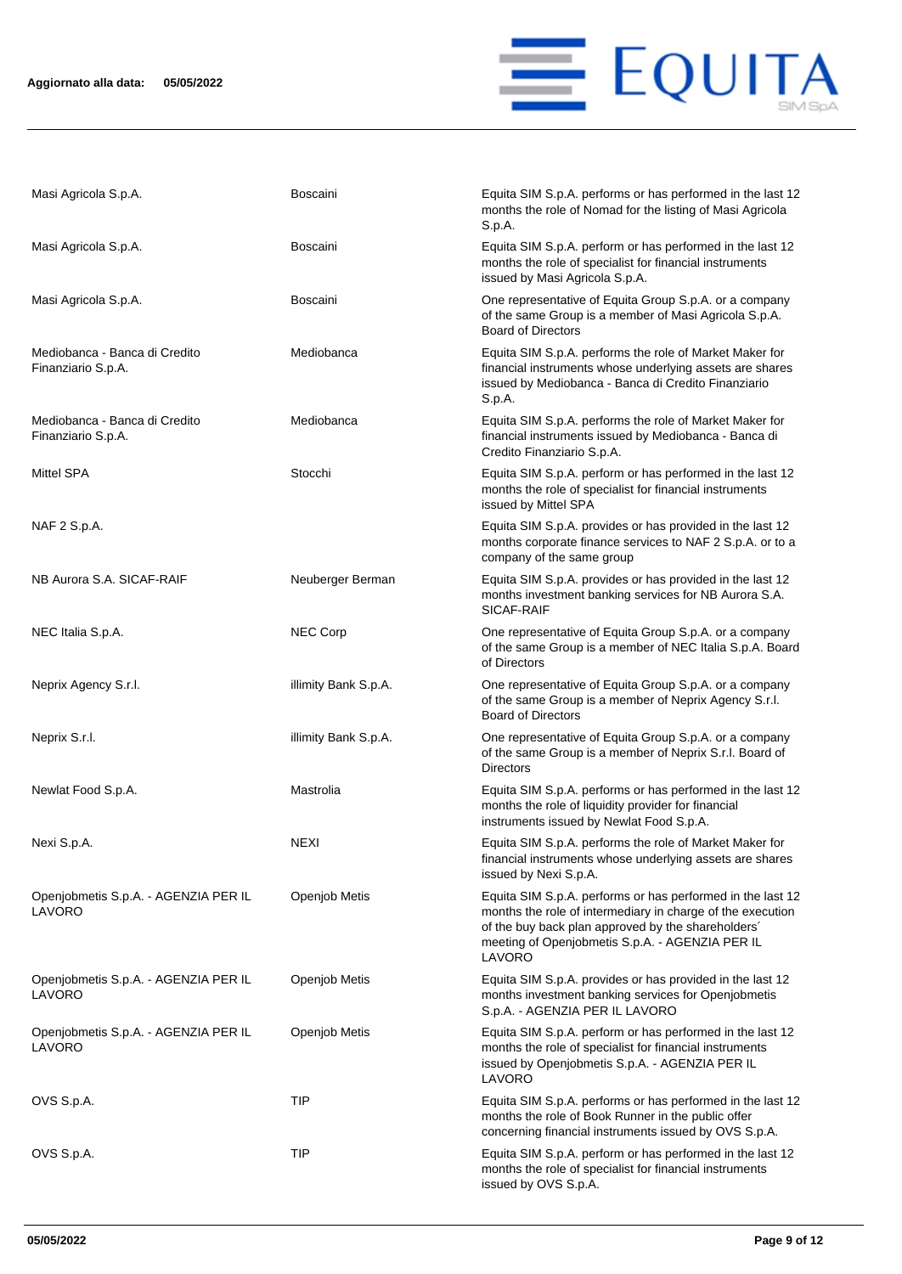

| Masi Agricola S.p.A.                                | <b>Boscaini</b>      | Equita SIM S.p.A. performs or has performed in the last 12<br>months the role of Nomad for the listing of Masi Agricola<br>S.p.A.                                                                                                           |
|-----------------------------------------------------|----------------------|---------------------------------------------------------------------------------------------------------------------------------------------------------------------------------------------------------------------------------------------|
| Masi Agricola S.p.A.                                | <b>Boscaini</b>      | Equita SIM S.p.A. perform or has performed in the last 12<br>months the role of specialist for financial instruments<br>issued by Masi Agricola S.p.A.                                                                                      |
| Masi Agricola S.p.A.                                | <b>Boscaini</b>      | One representative of Equita Group S.p.A. or a company<br>of the same Group is a member of Masi Agricola S.p.A.<br><b>Board of Directors</b>                                                                                                |
| Mediobanca - Banca di Credito<br>Finanziario S.p.A. | Mediobanca           | Equita SIM S.p.A. performs the role of Market Maker for<br>financial instruments whose underlying assets are shares<br>issued by Mediobanca - Banca di Credito Finanziario<br>S.p.A.                                                        |
| Mediobanca - Banca di Credito<br>Finanziario S.p.A. | Mediobanca           | Equita SIM S.p.A. performs the role of Market Maker for<br>financial instruments issued by Mediobanca - Banca di<br>Credito Finanziario S.p.A.                                                                                              |
| <b>Mittel SPA</b>                                   | Stocchi              | Equita SIM S.p.A. perform or has performed in the last 12<br>months the role of specialist for financial instruments<br>issued by Mittel SPA                                                                                                |
| NAF 2 S.p.A.                                        |                      | Equita SIM S.p.A. provides or has provided in the last 12<br>months corporate finance services to NAF 2 S.p.A. or to a<br>company of the same group                                                                                         |
| NB Aurora S.A. SICAF-RAIF                           | Neuberger Berman     | Equita SIM S.p.A. provides or has provided in the last 12<br>months investment banking services for NB Aurora S.A.<br>SICAF-RAIF                                                                                                            |
| NEC Italia S.p.A.                                   | <b>NEC Corp</b>      | One representative of Equita Group S.p.A. or a company<br>of the same Group is a member of NEC Italia S.p.A. Board<br>of Directors                                                                                                          |
| Neprix Agency S.r.l.                                | illimity Bank S.p.A. | One representative of Equita Group S.p.A. or a company<br>of the same Group is a member of Neprix Agency S.r.l.<br><b>Board of Directors</b>                                                                                                |
| Neprix S.r.l.                                       | illimity Bank S.p.A. | One representative of Equita Group S.p.A. or a company<br>of the same Group is a member of Neprix S.r.l. Board of<br><b>Directors</b>                                                                                                       |
| Newlat Food S.p.A.                                  | Mastrolia            | Equita SIM S.p.A. performs or has performed in the last 12<br>months the role of liquidity provider for financial<br>instruments issued by Newlat Food S.p.A.                                                                               |
| Nexi S.p.A.                                         | <b>NEXI</b>          | Equita SIM S.p.A. performs the role of Market Maker for<br>financial instruments whose underlying assets are shares<br>issued by Nexi S.p.A.                                                                                                |
| Openjobmetis S.p.A. - AGENZIA PER IL<br>LAVORO      | Openjob Metis        | Equita SIM S.p.A. performs or has performed in the last 12<br>months the role of intermediary in charge of the execution<br>of the buy back plan approved by the shareholders'<br>meeting of Openjobmetis S.p.A. - AGENZIA PER IL<br>LAVORO |
| Openjobmetis S.p.A. - AGENZIA PER IL<br>LAVORO      | Openjob Metis        | Equita SIM S.p.A. provides or has provided in the last 12<br>months investment banking services for Openjobmetis<br>S.p.A. - AGENZIA PER IL LAVORO                                                                                          |
| Openjobmetis S.p.A. - AGENZIA PER IL<br>LAVORO      | Openjob Metis        | Equita SIM S.p.A. perform or has performed in the last 12<br>months the role of specialist for financial instruments<br>issued by Openjobmetis S.p.A. - AGENZIA PER IL<br>LAVORO                                                            |
| OVS S.p.A.                                          | TIP                  | Equita SIM S.p.A. performs or has performed in the last 12<br>months the role of Book Runner in the public offer<br>concerning financial instruments issued by OVS S.p.A.                                                                   |
| OVS S.p.A.                                          | TIP                  | Equita SIM S.p.A. perform or has performed in the last 12<br>months the role of specialist for financial instruments<br>issued by OVS S.p.A.                                                                                                |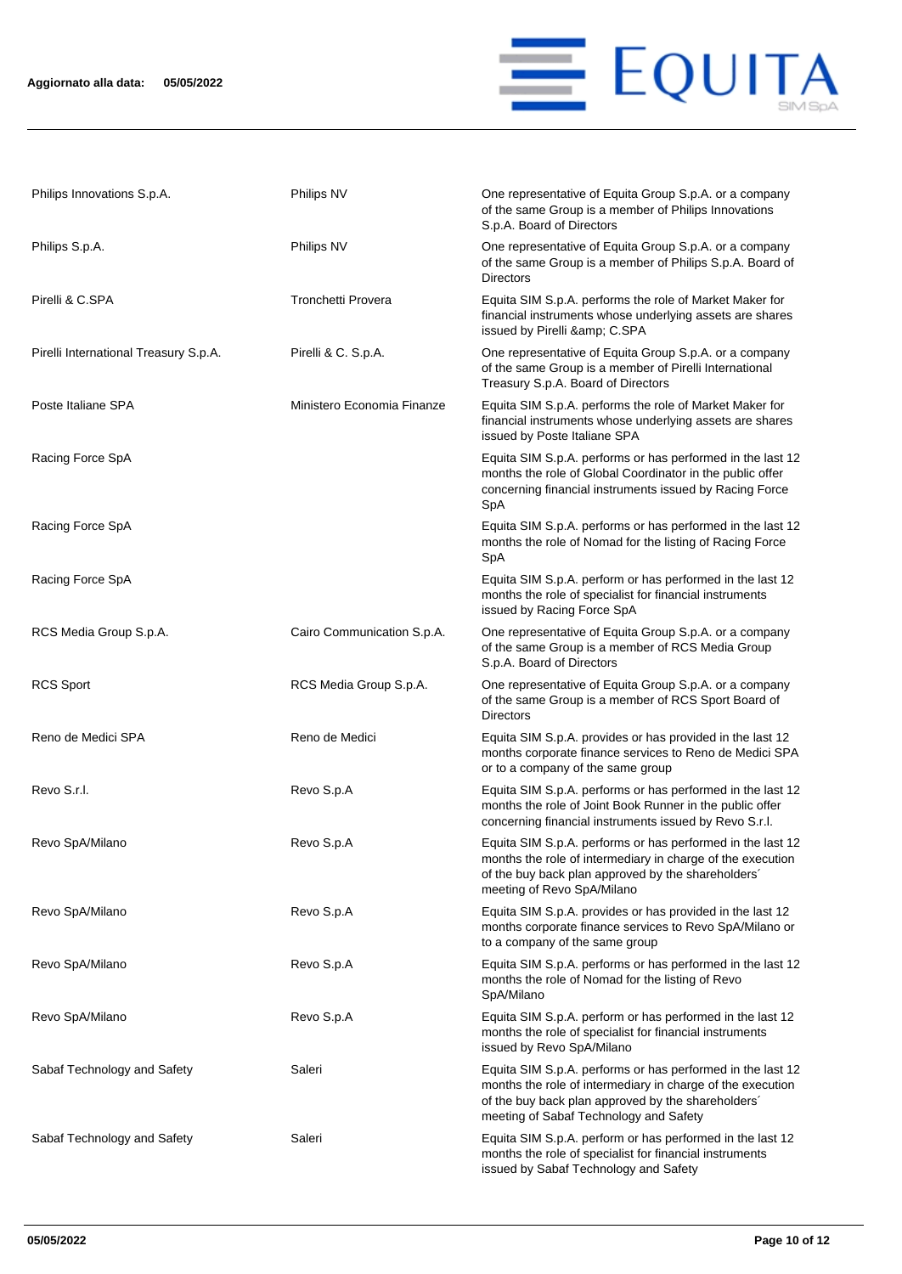

| Philips Innovations S.p.A.            | Philips NV                 | One representative of Equita Group S.p.A. or a company<br>of the same Group is a member of Philips Innovations<br>S.p.A. Board of Directors                                                                              |
|---------------------------------------|----------------------------|--------------------------------------------------------------------------------------------------------------------------------------------------------------------------------------------------------------------------|
| Philips S.p.A.                        | Philips NV                 | One representative of Equita Group S.p.A. or a company<br>of the same Group is a member of Philips S.p.A. Board of<br><b>Directors</b>                                                                                   |
| Pirelli & C.SPA                       | Tronchetti Provera         | Equita SIM S.p.A. performs the role of Market Maker for<br>financial instruments whose underlying assets are shares<br>issued by Pirelli & C.SPA                                                                         |
| Pirelli International Treasury S.p.A. | Pirelli & C. S.p.A.        | One representative of Equita Group S.p.A. or a company<br>of the same Group is a member of Pirelli International<br>Treasury S.p.A. Board of Directors                                                                   |
| Poste Italiane SPA                    | Ministero Economia Finanze | Equita SIM S.p.A. performs the role of Market Maker for<br>financial instruments whose underlying assets are shares<br>issued by Poste Italiane SPA                                                                      |
| Racing Force SpA                      |                            | Equita SIM S.p.A. performs or has performed in the last 12<br>months the role of Global Coordinator in the public offer<br>concerning financial instruments issued by Racing Force<br>SpA                                |
| Racing Force SpA                      |                            | Equita SIM S.p.A. performs or has performed in the last 12<br>months the role of Nomad for the listing of Racing Force<br>SpA                                                                                            |
| Racing Force SpA                      |                            | Equita SIM S.p.A. perform or has performed in the last 12<br>months the role of specialist for financial instruments<br>issued by Racing Force SpA                                                                       |
| RCS Media Group S.p.A.                | Cairo Communication S.p.A. | One representative of Equita Group S.p.A. or a company<br>of the same Group is a member of RCS Media Group<br>S.p.A. Board of Directors                                                                                  |
| <b>RCS Sport</b>                      | RCS Media Group S.p.A.     | One representative of Equita Group S.p.A. or a company<br>of the same Group is a member of RCS Sport Board of<br><b>Directors</b>                                                                                        |
| Reno de Medici SPA                    | Reno de Medici             | Equita SIM S.p.A. provides or has provided in the last 12<br>months corporate finance services to Reno de Medici SPA<br>or to a company of the same group                                                                |
| Revo S.r.l.                           | Revo S.p.A                 | Equita SIM S.p.A. performs or has performed in the last 12<br>months the role of Joint Book Runner in the public offer<br>concerning financial instruments issued by Revo S.r.l.                                         |
| Revo SpA/Milano                       | Revo S.p.A                 | Equita SIM S.p.A. performs or has performed in the last 12<br>months the role of intermediary in charge of the execution<br>of the buy back plan approved by the shareholders'<br>meeting of Revo SpA/Milano             |
| Revo SpA/Milano                       | Revo S.p.A                 | Equita SIM S.p.A. provides or has provided in the last 12<br>months corporate finance services to Revo SpA/Milano or<br>to a company of the same group                                                                   |
| Revo SpA/Milano                       | Revo S.p.A                 | Equita SIM S.p.A. performs or has performed in the last 12<br>months the role of Nomad for the listing of Revo<br>SpA/Milano                                                                                             |
| Revo SpA/Milano                       | Revo S.p.A                 | Equita SIM S.p.A. perform or has performed in the last 12<br>months the role of specialist for financial instruments<br>issued by Revo SpA/Milano                                                                        |
| Sabaf Technology and Safety           | Saleri                     | Equita SIM S.p.A. performs or has performed in the last 12<br>months the role of intermediary in charge of the execution<br>of the buy back plan approved by the shareholders'<br>meeting of Sabaf Technology and Safety |
| Sabaf Technology and Safety           | Saleri                     | Equita SIM S.p.A. perform or has performed in the last 12<br>months the role of specialist for financial instruments<br>issued by Sabaf Technology and Safety                                                            |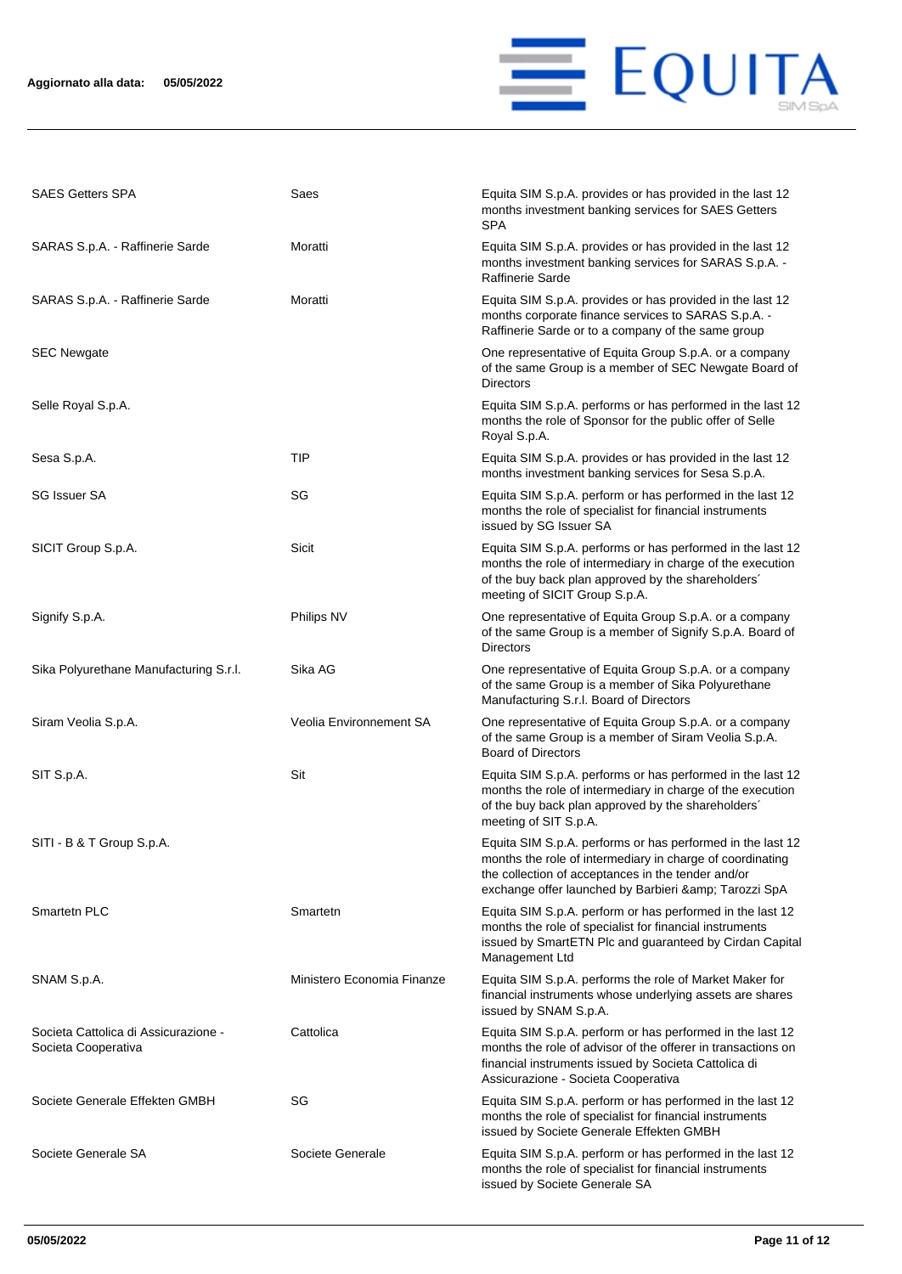

| <b>SAES Getters SPA</b>                                     | Saes                       | Equita SIM S.p.A. provides or has provided in the last 12<br>months investment banking services for SAES Getters<br>SPA                                                                                                                 |
|-------------------------------------------------------------|----------------------------|-----------------------------------------------------------------------------------------------------------------------------------------------------------------------------------------------------------------------------------------|
| SARAS S.p.A. - Raffinerie Sarde                             | Moratti                    | Equita SIM S.p.A. provides or has provided in the last 12<br>months investment banking services for SARAS S.p.A. -<br>Raffinerie Sarde                                                                                                  |
| SARAS S.p.A. - Raffinerie Sarde                             | Moratti                    | Equita SIM S.p.A. provides or has provided in the last 12<br>months corporate finance services to SARAS S.p.A. -<br>Raffinerie Sarde or to a company of the same group                                                                  |
| <b>SEC Newgate</b>                                          |                            | One representative of Equita Group S.p.A. or a company<br>of the same Group is a member of SEC Newgate Board of<br><b>Directors</b>                                                                                                     |
| Selle Royal S.p.A.                                          |                            | Equita SIM S.p.A. performs or has performed in the last 12<br>months the role of Sponsor for the public offer of Selle<br>Royal S.p.A.                                                                                                  |
| Sesa S.p.A.                                                 | TIP                        | Equita SIM S.p.A. provides or has provided in the last 12<br>months investment banking services for Sesa S.p.A.                                                                                                                         |
| SG Issuer SA                                                | SG                         | Equita SIM S.p.A. perform or has performed in the last 12<br>months the role of specialist for financial instruments<br>issued by SG Issuer SA                                                                                          |
| SICIT Group S.p.A.                                          | Sicit                      | Equita SIM S.p.A. performs or has performed in the last 12<br>months the role of intermediary in charge of the execution<br>of the buy back plan approved by the shareholders'<br>meeting of SICIT Group S.p.A.                         |
| Signify S.p.A.                                              | Philips NV                 | One representative of Equita Group S.p.A. or a company<br>of the same Group is a member of Signify S.p.A. Board of<br><b>Directors</b>                                                                                                  |
| Sika Polyurethane Manufacturing S.r.l.                      | Sika AG                    | One representative of Equita Group S.p.A. or a company<br>of the same Group is a member of Sika Polyurethane<br>Manufacturing S.r.l. Board of Directors                                                                                 |
| Siram Veolia S.p.A.                                         | Veolia Environnement SA    | One representative of Equita Group S.p.A. or a company<br>of the same Group is a member of Siram Veolia S.p.A.<br><b>Board of Directors</b>                                                                                             |
| SIT S.p.A.                                                  | Sit                        | Equita SIM S.p.A. performs or has performed in the last 12<br>months the role of intermediary in charge of the execution<br>of the buy back plan approved by the shareholders'<br>meeting of SIT S.p.A.                                 |
| SITI - B & T Group S.p.A.                                   |                            | Equita SIM S.p.A. performs or has performed in the last 12<br>months the role of intermediary in charge of coordinating<br>the collection of acceptances in the tender and/or<br>exchange offer launched by Barbieri & amp; Tarozzi SpA |
| Smartetn PLC                                                | Smartetn                   | Equita SIM S.p.A. perform or has performed in the last 12<br>months the role of specialist for financial instruments<br>issued by SmartETN Plc and guaranteed by Cirdan Capital<br>Management Ltd                                       |
| SNAM S.p.A.                                                 | Ministero Economia Finanze | Equita SIM S.p.A. performs the role of Market Maker for<br>financial instruments whose underlying assets are shares<br>issued by SNAM S.p.A.                                                                                            |
| Societa Cattolica di Assicurazione -<br>Societa Cooperativa | Cattolica                  | Equita SIM S.p.A. perform or has performed in the last 12<br>months the role of advisor of the offerer in transactions on<br>financial instruments issued by Societa Cattolica di<br>Assicurazione - Societa Cooperativa                |
| Societe Generale Effekten GMBH                              | SG                         | Equita SIM S.p.A. perform or has performed in the last 12<br>months the role of specialist for financial instruments<br>issued by Societe Generale Effekten GMBH                                                                        |
| Societe Generale SA                                         | Societe Generale           | Equita SIM S.p.A. perform or has performed in the last 12<br>months the role of specialist for financial instruments<br>issued by Societe Generale SA                                                                                   |